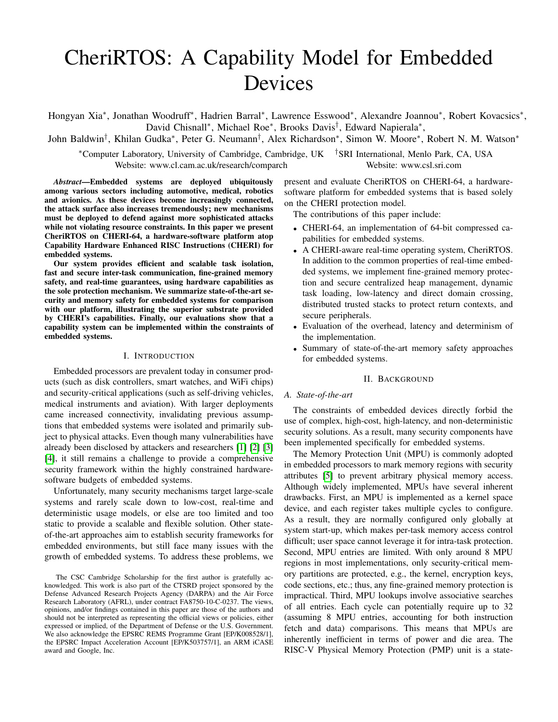# CheriRTOS: A Capability Model for Embedded Devices

Hongyan Xia\*, Jonathan Woodruff\*, Hadrien Barral\*, Lawrence Esswood\*, Alexandre Joannou\*, Robert Kovacsics\*, David Chisnall<sup>∗</sup> , Michael Roe<sup>∗</sup> , Brooks Davis† , Edward Napierala<sup>∗</sup> ,

John Baldwin† , Khilan Gudka<sup>∗</sup> , Peter G. Neumann† , Alex Richardson<sup>∗</sup> , Simon W. Moore<sup>∗</sup> , Robert N. M. Watson<sup>∗</sup>

<sup>∗</sup>Computer Laboratory, University of Cambridge, Cambridge, UK †SRI International, Menlo Park, CA, USA Website: www.cl.cam.ac.uk/research/comparch Website: www.csl.sri.com

*Abstract*—Embedded systems are deployed ubiquitously among various sectors including automotive, medical, robotics and avionics. As these devices become increasingly connected, the attack surface also increases tremendously; new mechanisms must be deployed to defend against more sophisticated attacks while not violating resource constraints. In this paper we present CheriRTOS on CHERI-64, a hardware-software platform atop Capability Hardware Enhanced RISC Instructions (CHERI) for embedded systems.

Our system provides efficient and scalable task isolation, fast and secure inter-task communication, fine-grained memory safety, and real-time guarantees, using hardware capabilities as the sole protection mechanism. We summarize state-of-the-art security and memory safety for embedded systems for comparison with our platform, illustrating the superior substrate provided by CHERI's capabilities. Finally, our evaluations show that a capability system can be implemented within the constraints of embedded systems.

#### I. INTRODUCTION

Embedded processors are prevalent today in consumer products (such as disk controllers, smart watches, and WiFi chips) and security-critical applications (such as self-driving vehicles, medical instruments and aviation). With larger deployments came increased connectivity, invalidating previous assumptions that embedded systems were isolated and primarily subject to physical attacks. Even though many vulnerabilities have already been disclosed by attackers and researchers [\[1\]](#page-7-0) [\[2\]](#page-7-1) [\[3\]](#page-7-2) [\[4\]](#page-7-3), it still remains a challenge to provide a comprehensive security framework within the highly constrained hardwaresoftware budgets of embedded systems.

Unfortunately, many security mechanisms target large-scale systems and rarely scale down to low-cost, real-time and deterministic usage models, or else are too limited and too static to provide a scalable and flexible solution. Other stateof-the-art approaches aim to establish security frameworks for embedded environments, but still face many issues with the growth of embedded systems. To address these problems, we

present and evaluate CheriRTOS on CHERI-64, a hardwaresoftware platform for embedded systems that is based solely on the CHERI protection model.

The contributions of this paper include:

- CHERI-64, an implementation of 64-bit compressed capabilities for embedded systems.
- A CHERI-aware real-time operating system, CheriRTOS. In addition to the common properties of real-time embedded systems, we implement fine-grained memory protection and secure centralized heap management, dynamic task loading, low-latency and direct domain crossing, distributed trusted stacks to protect return contexts, and secure peripherals.
- Evaluation of the overhead, latency and determinism of the implementation.
- Summary of state-of-the-art memory safety approaches for embedded systems.

#### II. BACKGROUND

## *A. State-of-the-art*

The constraints of embedded devices directly forbid the use of complex, high-cost, high-latency, and non-deterministic security solutions. As a result, many security components have been implemented specifically for embedded systems.

The Memory Protection Unit (MPU) is commonly adopted in embedded processors to mark memory regions with security attributes [\[5\]](#page-7-4) to prevent arbitrary physical memory access. Although widely implemented, MPUs have several inherent drawbacks. First, an MPU is implemented as a kernel space device, and each register takes multiple cycles to configure. As a result, they are normally configured only globally at system start-up, which makes per-task memory access control difficult; user space cannot leverage it for intra-task protection. Second, MPU entries are limited. With only around 8 MPU regions in most implementations, only security-critical memory partitions are protected, e.g., the kernel, encryption keys, code sections, etc.; thus, any fine-grained memory protection is impractical. Third, MPU lookups involve associative searches of all entries. Each cycle can potentially require up to 32 (assuming 8 MPU entries, accounting for both instruction fetch and data) comparisons. This means that MPUs are inherently inefficient in terms of power and die area. The RISC-V Physical Memory Protection (PMP) unit is a state-

The CSC Cambridge Scholarship for the first author is gratefully acknowledged. This work is also part of the CTSRD project sponsored by the Defense Advanced Research Projects Agency (DARPA) and the Air Force Research Laboratory (AFRL), under contract FA8750-10-C-0237. The views, opinions, and/or findings contained in this paper are those of the authors and should not be interpreted as representing the official views or policies, either expressed or implied, of the Department of Defense or the U.S. Government. We also acknowledge the EPSRC REMS Programme Grant [EP/K008528/1], the EPSRC Impact Acceleration Account [EP/K503757/1], an ARM iCASE award and Google, Inc.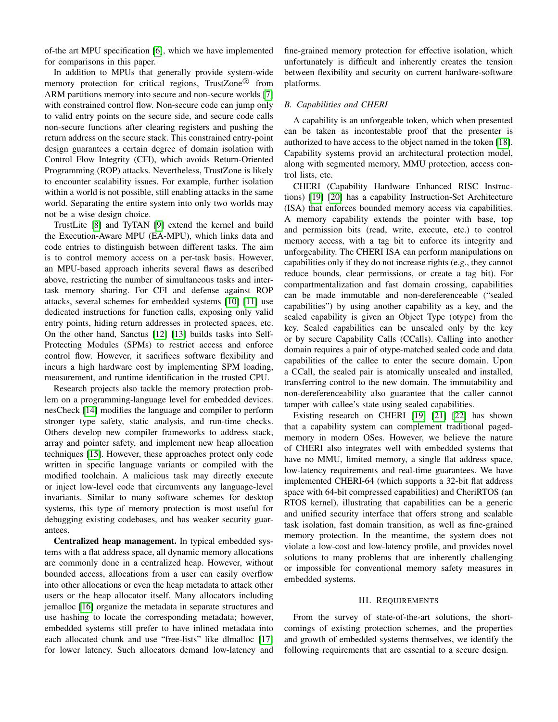of-the art MPU specification [\[6\]](#page-7-5), which we have implemented for comparisons in this paper.

In addition to MPUs that generally provide system-wide memory protection for critical regions, TrustZone® from ARM partitions memory into secure and non-secure worlds [\[7\]](#page-7-6) with constrained control flow. Non-secure code can jump only to valid entry points on the secure side, and secure code calls non-secure functions after clearing registers and pushing the return address on the secure stack. This constrained entry-point design guarantees a certain degree of domain isolation with Control Flow Integrity (CFI), which avoids Return-Oriented Programming (ROP) attacks. Nevertheless, TrustZone is likely to encounter scalability issues. For example, further isolation within a world is not possible, still enabling attacks in the same world. Separating the entire system into only two worlds may not be a wise design choice.

TrustLite [\[8\]](#page-7-7) and TyTAN [\[9\]](#page-7-8) extend the kernel and build the Execution-Aware MPU (EA-MPU), which links data and code entries to distinguish between different tasks. The aim is to control memory access on a per-task basis. However, an MPU-based approach inherits several flaws as described above, restricting the number of simultaneous tasks and intertask memory sharing. For CFI and defense against ROP attacks, several schemes for embedded systems [\[10\]](#page-7-9) [\[11\]](#page-7-10) use dedicated instructions for function calls, exposing only valid entry points, hiding return addresses in protected spaces, etc. On the other hand, Sanctus [\[12\]](#page-7-11) [\[13\]](#page-7-12) builds tasks into Self-Protecting Modules (SPMs) to restrict access and enforce control flow. However, it sacrifices software flexibility and incurs a high hardware cost by implementing SPM loading, measurement, and runtime identification in the trusted CPU.

Research projects also tackle the memory protection problem on a programming-language level for embedded devices. nesCheck [\[14\]](#page-7-13) modifies the language and compiler to perform stronger type safety, static analysis, and run-time checks. Others develop new compiler frameworks to address stack, array and pointer safety, and implement new heap allocation techniques [\[15\]](#page-7-14). However, these approaches protect only code written in specific language variants or compiled with the modified toolchain. A malicious task may directly execute or inject low-level code that circumvents any language-level invariants. Similar to many software schemes for desktop systems, this type of memory protection is most useful for debugging existing codebases, and has weaker security guarantees.

Centralized heap management. In typical embedded systems with a flat address space, all dynamic memory allocations are commonly done in a centralized heap. However, without bounded access, allocations from a user can easily overflow into other allocations or even the heap metadata to attack other users or the heap allocator itself. Many allocators including jemalloc [\[16\]](#page-7-15) organize the metadata in separate structures and use hashing to locate the corresponding metadata; however, embedded systems still prefer to have inlined metadata into each allocated chunk and use "free-lists" like dlmalloc [\[17\]](#page-7-16) for lower latency. Such allocators demand low-latency and

fine-grained memory protection for effective isolation, which unfortunately is difficult and inherently creates the tension between flexibility and security on current hardware-software platforms.

#### *B. Capabilities and CHERI*

A capability is an unforgeable token, which when presented can be taken as incontestable proof that the presenter is authorized to have access to the object named in the token [\[18\]](#page-7-17). Capability systems provid an architectural protection model, along with segmented memory, MMU protection, access control lists, etc.

CHERI (Capability Hardware Enhanced RISC Instructions) [\[19\]](#page-7-18) [\[20\]](#page-7-19) has a capability Instruction-Set Architecture (ISA) that enforces bounded memory access via capabilities. A memory capability extends the pointer with base, top and permission bits (read, write, execute, etc.) to control memory access, with a tag bit to enforce its integrity and unforgeability. The CHERI ISA can perform manipulations on capabilities only if they do not increase rights (e.g., they cannot reduce bounds, clear permissions, or create a tag bit). For compartmentalization and fast domain crossing, capabilities can be made immutable and non-dereferenceable ("sealed capabilities") by using another capability as a key, and the sealed capability is given an Object Type (otype) from the key. Sealed capabilities can be unsealed only by the key or by secure Capability Calls (CCalls). Calling into another domain requires a pair of otype-matched sealed code and data capabilities of the callee to enter the secure domain. Upon a CCall, the sealed pair is atomically unsealed and installed, transferring control to the new domain. The immutability and non-dereferenceability also guarantee that the caller cannot tamper with callee's state using sealed capabilities.

Existing research on CHERI [\[19\]](#page-7-18) [\[21\]](#page-7-20) [\[22\]](#page-7-21) has shown that a capability system can complement traditional pagedmemory in modern OSes. However, we believe the nature of CHERI also integrates well with embedded systems that have no MMU, limited memory, a single flat address space, low-latency requirements and real-time guarantees. We have implemented CHERI-64 (which supports a 32-bit flat address space with 64-bit compressed capabilities) and CheriRTOS (an RTOS kernel), illustrating that capabilities can be a generic and unified security interface that offers strong and scalable task isolation, fast domain transition, as well as fine-grained memory protection. In the meantime, the system does not violate a low-cost and low-latency profile, and provides novel solutions to many problems that are inherently challenging or impossible for conventional memory safety measures in embedded systems.

#### III. REQUIREMENTS

<span id="page-1-0"></span>From the survey of state-of-the-art solutions, the shortcomings of existing protection schemes, and the properties and growth of embedded systems themselves, we identify the following requirements that are essential to a secure design.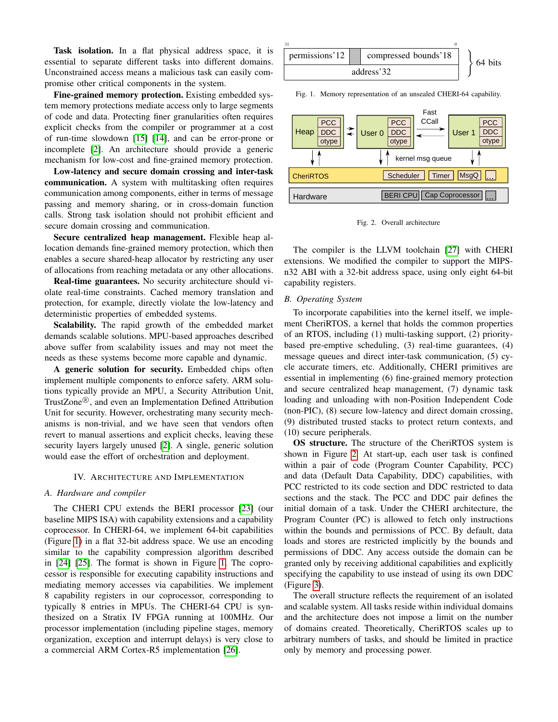Task isolation. In a flat physical address space, it is essential to separate different tasks into different domains. Unconstrained access means a malicious task can easily compromise other critical components in the system.

Fine-grained memory protection. Existing embedded system memory protections mediate access only to large segments of code and data. Protecting finer granularities often requires explicit checks from the compiler or programmer at a cost of run-time slowdown [\[15\]](#page-7-14) [\[14\]](#page-7-13), and can be error-prone or incomplete [\[2\]](#page-7-1). An architecture should provide a generic mechanism for low-cost and fine-grained memory protection.

Low-latency and secure domain crossing and inter-task communication. A system with multitasking often requires communication among components, either in terms of message passing and memory sharing, or in cross-domain function calls. Strong task isolation should not prohibit efficient and secure domain crossing and communication.

Secure centralized heap management. Flexible heap allocation demands fine-grained memory protection, which then enables a secure shared-heap allocator by restricting any user of allocations from reaching metadata or any other allocations.

Real-time guarantees. No security architecture should violate real-time constraints. Cached memory translation and protection, for example, directly violate the low-latency and deterministic properties of embedded systems.

Scalability. The rapid growth of the embedded market demands scalable solutions. MPU-based approaches described above suffer from scalability issues and may not meet the needs as these systems become more capable and dynamic.

A generic solution for security. Embedded chips often implement multiple components to enforce safety. ARM solutions typically provide an MPU, a Security Attribution Unit, TrustZone<sup>®</sup>, and even an Implementation Defined Attribution Unit for security. However, orchestrating many security mechanisms is non-trivial, and we have seen that vendors often revert to manual assertions and explicit checks, leaving these security layers largely unused [\[2\]](#page-7-1). A single, generic solution would ease the effort of orchestration and deployment.

## IV. ARCHITECTURE AND IMPLEMENTATION

#### *A. Hardware and compiler*

The CHERI CPU extends the BERI processor [\[23\]](#page-7-22) (our baseline MIPS ISA) with capability extensions and a capability coprocessor. In CHERI-64, we implement 64-bit capabilities (Figure [1\)](#page-2-0) in a flat 32-bit address space. We use an encoding similar to the capability compression algorithm described in [\[24\]](#page-7-23) [\[25\]](#page-7-24). The format is shown in Figure [1.](#page-2-0) The coprocessor is responsible for executing capability instructions and mediating memory accesses via capabilities. We implement 8 capability registers in our coprocessor, corresponding to typically 8 entries in MPUs. The CHERI-64 CPU is synthesized on a Stratix IV FPGA running at 100MHz. Our processor implementation (including pipeline stages, memory organization, exception and interrupt delays) is very close to a commercial ARM Cortex-R5 implementation [\[26\]](#page-7-25).



<span id="page-2-0"></span>Fig. 1. Memory representation of an unsealed CHERI-64 capability.



<span id="page-2-1"></span>Fig. 2. Overall architecture

The compiler is the LLVM toolchain [\[27\]](#page-7-26) with CHERI extensions. We modified the compiler to support the MIPSn32 ABI with a 32-bit address space, using only eight 64-bit capability registers.

### *B. Operating System*

To incorporate capabilities into the kernel itself, we implement CheriRTOS, a kernel that holds the common properties of an RTOS, including (1) multi-tasking support, (2) prioritybased pre-emptive scheduling, (3) real-time guarantees, (4) message queues and direct inter-task communication, (5) cycle accurate timers, etc. Additionally, CHERI primitives are essential in implementing (6) fine-grained memory protection and secure centralized heap management, (7) dynamic task loading and unloading with non-Position Independent Code (non-PIC), (8) secure low-latency and direct domain crossing, (9) distributed trusted stacks to protect return contexts, and (10) secure peripherals.

OS structure. The structure of the CheriRTOS system is shown in Figure [2.](#page-2-1) At start-up, each user task is confined within a pair of code (Program Counter Capability, PCC) and data (Default Data Capability, DDC) capabilities, with PCC restricted to its code section and DDC restricted to data sections and the stack. The PCC and DDC pair defines the initial domain of a task. Under the CHERI architecture, the Program Counter (PC) is allowed to fetch only instructions within the bounds and permissions of PCC. By default, data loads and stores are restricted implicitly by the bounds and permissions of DDC. Any access outside the domain can be granted only by receiving additional capabilities and explicitly specifying the capability to use instead of using its own DDC (Figure [3\)](#page-3-0).

The overall structure reflects the requirement of an isolated and scalable system. All tasks reside within individual domains and the architecture does not impose a limit on the number of domains created. Theoretically, CheriRTOS scales up to arbitrary numbers of tasks, and should be limited in practice only by memory and processing power.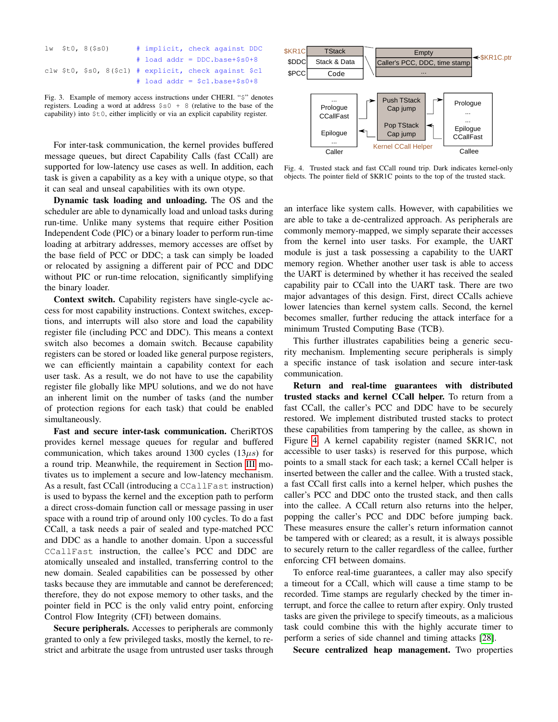|  | $1w$ \$t0, $8$ (\$s0) |  | # implicit, check against DDC                             |  |  |
|--|-----------------------|--|-----------------------------------------------------------|--|--|
|  |                       |  | $\#$ load addr = DDC.base+\$s0+8                          |  |  |
|  |                       |  | clw \$t0, \$s0, $8($ \$c1) # explicit, check against \$c1 |  |  |
|  |                       |  | # load addr = $$c1.base+$s0+8$                            |  |  |

<span id="page-3-0"></span>Fig. 3. Example of memory access instructions under CHERI. "\$" denotes registers. Loading a word at address \$s0 + 8 (relative to the base of the capability) into \$t0, either implicitly or via an explicit capability register.

For inter-task communication, the kernel provides buffered message queues, but direct Capability Calls (fast CCall) are supported for low-latency use cases as well. In addition, each task is given a capability as a key with a unique otype, so that it can seal and unseal capabilities with its own otype.

Dynamic task loading and unloading. The OS and the scheduler are able to dynamically load and unload tasks during run-time. Unlike many systems that require either Position Independent Code (PIC) or a binary loader to perform run-time loading at arbitrary addresses, memory accesses are offset by the base field of PCC or DDC; a task can simply be loaded or relocated by assigning a different pair of PCC and DDC without PIC or run-time relocation, significantly simplifying the binary loader.

Context switch. Capability registers have single-cycle access for most capability instructions. Context switches, exceptions, and interrupts will also store and load the capability register file (including PCC and DDC). This means a context switch also becomes a domain switch. Because capability registers can be stored or loaded like general purpose registers, we can efficiently maintain a capability context for each user task. As a result, we do not have to use the capability register file globally like MPU solutions, and we do not have an inherent limit on the number of tasks (and the number of protection regions for each task) that could be enabled simultaneously.

Fast and secure inter-task communication. CheriRTOS provides kernel message queues for regular and buffered communication, which takes around 1300 cycles  $(13\mu s)$  for a round trip. Meanwhile, the requirement in Section [III](#page-1-0) motivates us to implement a secure and low-latency mechanism. As a result, fast CCall (introducing a CCallFast instruction) is used to bypass the kernel and the exception path to perform a direct cross-domain function call or message passing in user space with a round trip of around only 100 cycles. To do a fast CCall, a task needs a pair of sealed and type-matched PCC and DDC as a handle to another domain. Upon a successful CCallFast instruction, the callee's PCC and DDC are atomically unsealed and installed, transferring control to the new domain. Sealed capabilities can be possessed by other tasks because they are immutable and cannot be dereferenced; therefore, they do not expose memory to other tasks, and the pointer field in PCC is the only valid entry point, enforcing Control Flow Integrity (CFI) between domains.

Secure peripherals. Accesses to peripherals are commonly granted to only a few privileged tasks, mostly the kernel, to restrict and arbitrate the usage from untrusted user tasks through



<span id="page-3-1"></span>Fig. 4. Trusted stack and fast CCall round trip. Dark indicates kernel-only objects. The pointer field of \$KR1C points to the top of the trusted stack.

an interface like system calls. However, with capabilities we are able to take a de-centralized approach. As peripherals are commonly memory-mapped, we simply separate their accesses from the kernel into user tasks. For example, the UART module is just a task possessing a capability to the UART memory region. Whether another user task is able to access the UART is determined by whether it has received the sealed capability pair to CCall into the UART task. There are two major advantages of this design. First, direct CCalls achieve lower latencies than kernel system calls. Second, the kernel becomes smaller, further reducing the attack interface for a minimum Trusted Computing Base (TCB).

This further illustrates capabilities being a generic security mechanism. Implementing secure peripherals is simply a specific instance of task isolation and secure inter-task communication.

Return and real-time guarantees with distributed trusted stacks and kernel CCall helper. To return from a fast CCall, the caller's PCC and DDC have to be securely restored. We implement distributed trusted stacks to protect these capabilities from tampering by the callee, as shown in Figure [4.](#page-3-1) A kernel capability register (named \$KR1C, not accessible to user tasks) is reserved for this purpose, which points to a small stack for each task; a kernel CCall helper is inserted between the caller and the callee. With a trusted stack, a fast CCall first calls into a kernel helper, which pushes the caller's PCC and DDC onto the trusted stack, and then calls into the callee. A CCall return also returns into the helper, popping the caller's PCC and DDC before jumping back. These measures ensure the caller's return information cannot be tampered with or cleared; as a result, it is always possible to securely return to the caller regardless of the callee, further enforcing CFI between domains.

To enforce real-time guarantees, a caller may also specify a timeout for a CCall, which will cause a time stamp to be recorded. Time stamps are regularly checked by the timer interrupt, and force the callee to return after expiry. Only trusted tasks are given the privilege to specify timeouts, as a malicious task could combine this with the highly accurate timer to perform a series of side channel and timing attacks [\[28\]](#page-7-27).

Secure centralized heap management. Two properties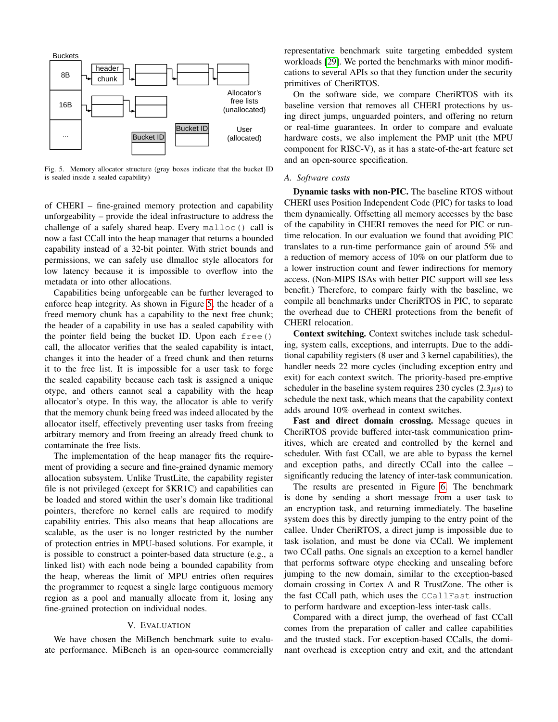

<span id="page-4-0"></span>Fig. 5. Memory allocator structure (gray boxes indicate that the bucket ID is sealed inside a sealed capability)

of CHERI – fine-grained memory protection and capability unforgeability – provide the ideal infrastructure to address the challenge of a safely shared heap. Every malloc() call is now a fast CCall into the heap manager that returns a bounded capability instead of a 32-bit pointer. With strict bounds and permissions, we can safely use dlmalloc style allocators for low latency because it is impossible to overflow into the metadata or into other allocations.

Capabilities being unforgeable can be further leveraged to enforce heap integrity. As shown in Figure [5,](#page-4-0) the header of a freed memory chunk has a capability to the next free chunk; the header of a capability in use has a sealed capability with the pointer field being the bucket ID. Upon each free() call, the allocator verifies that the sealed capability is intact, changes it into the header of a freed chunk and then returns it to the free list. It is impossible for a user task to forge the sealed capability because each task is assigned a unique otype, and others cannot seal a capability with the heap allocator's otype. In this way, the allocator is able to verify that the memory chunk being freed was indeed allocated by the allocator itself, effectively preventing user tasks from freeing arbitrary memory and from freeing an already freed chunk to contaminate the free lists.

The implementation of the heap manager fits the requirement of providing a secure and fine-grained dynamic memory allocation subsystem. Unlike TrustLite, the capability register file is not privileged (except for \$KR1C) and capabilities can be loaded and stored within the user's domain like traditional pointers, therefore no kernel calls are required to modify capability entries. This also means that heap allocations are scalable, as the user is no longer restricted by the number of protection entries in MPU-based solutions. For example, it is possible to construct a pointer-based data structure (e.g., a linked list) with each node being a bounded capability from the heap, whereas the limit of MPU entries often requires the programmer to request a single large contiguous memory region as a pool and manually allocate from it, losing any fine-grained protection on individual nodes.

## V. EVALUATION

We have chosen the MiBench benchmark suite to evaluate performance. MiBench is an open-source commercially representative benchmark suite targeting embedded system workloads [\[29\]](#page-7-28). We ported the benchmarks with minor modifications to several APIs so that they function under the security primitives of CheriRTOS.

On the software side, we compare CheriRTOS with its baseline version that removes all CHERI protections by using direct jumps, unguarded pointers, and offering no return or real-time guarantees. In order to compare and evaluate hardware costs, we also implement the PMP unit (the MPU component for RISC-V), as it has a state-of-the-art feature set and an open-source specification.

#### *A. Software costs*

Dynamic tasks with non-PIC. The baseline RTOS without CHERI uses Position Independent Code (PIC) for tasks to load them dynamically. Offsetting all memory accesses by the base of the capability in CHERI removes the need for PIC or runtime relocation. In our evaluation we found that avoiding PIC translates to a run-time performance gain of around 5% and a reduction of memory access of 10% on our platform due to a lower instruction count and fewer indirections for memory access. (Non-MIPS ISAs with better PIC support will see less benefit.) Therefore, to compare fairly with the baseline, we compile all benchmarks under CheriRTOS in PIC, to separate the overhead due to CHERI protections from the benefit of CHERI relocation.

Context switching. Context switches include task scheduling, system calls, exceptions, and interrupts. Due to the additional capability registers (8 user and 3 kernel capabilities), the handler needs 22 more cycles (including exception entry and exit) for each context switch. The priority-based pre-emptive scheduler in the baseline system requires 230 cycles  $(2.3\mu s)$  to schedule the next task, which means that the capability context adds around 10% overhead in context switches.

Fast and direct domain crossing. Message queues in CheriRTOS provide buffered inter-task communication primitives, which are created and controlled by the kernel and scheduler. With fast CCall, we are able to bypass the kernel and exception paths, and directly CCall into the callee – significantly reducing the latency of inter-task communication.

The results are presented in Figure [6.](#page-5-0) The benchmark is done by sending a short message from a user task to an encryption task, and returning immediately. The baseline system does this by directly jumping to the entry point of the callee. Under CheriRTOS, a direct jump is impossible due to task isolation, and must be done via CCall. We implement two CCall paths. One signals an exception to a kernel handler that performs software otype checking and unsealing before jumping to the new domain, similar to the exception-based domain crossing in Cortex A and R TrustZone. The other is the fast CCall path, which uses the CCallFast instruction to perform hardware and exception-less inter-task calls.

Compared with a direct jump, the overhead of fast CCall comes from the preparation of caller and callee capabilities and the trusted stack. For exception-based CCalls, the dominant overhead is exception entry and exit, and the attendant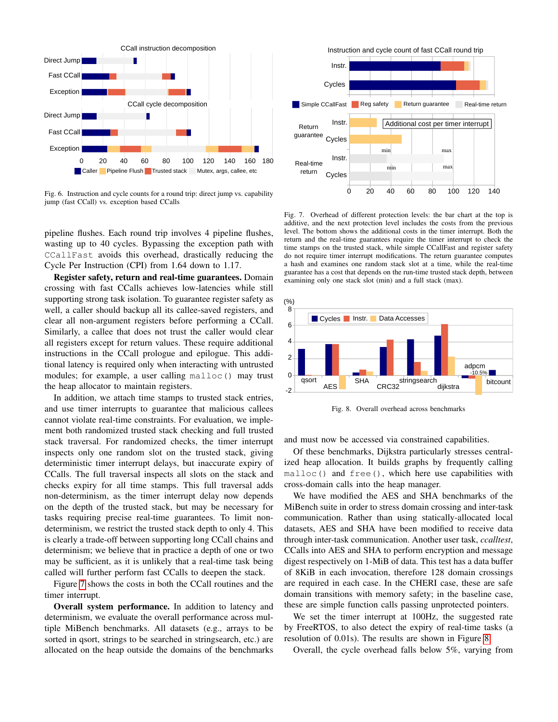

<span id="page-5-0"></span>Fig. 6. Instruction and cycle counts for a round trip: direct jump vs. capability jump (fast CCall) vs. exception based CCalls

pipeline flushes. Each round trip involves 4 pipeline flushes, wasting up to 40 cycles. Bypassing the exception path with CCallFast avoids this overhead, drastically reducing the Cycle Per Instruction (CPI) from 1.64 down to 1.17.

Register safety, return and real-time guarantees. Domain crossing with fast CCalls achieves low-latencies while still supporting strong task isolation. To guarantee register safety as well, a caller should backup all its callee-saved registers, and clear all non-argument registers before performing a CCall. Similarly, a callee that does not trust the caller would clear all registers except for return values. These require additional instructions in the CCall prologue and epilogue. This additional latency is required only when interacting with untrusted modules; for example, a user calling malloc() may trust the heap allocator to maintain registers.

In addition, we attach time stamps to trusted stack entries, and use timer interrupts to guarantee that malicious callees cannot violate real-time constraints. For evaluation, we implement both randomized trusted stack checking and full trusted stack traversal. For randomized checks, the timer interrupt inspects only one random slot on the trusted stack, giving deterministic timer interrupt delays, but inaccurate expiry of CCalls. The full traversal inspects all slots on the stack and checks expiry for all time stamps. This full traversal adds non-determinism, as the timer interrupt delay now depends on the depth of the trusted stack, but may be necessary for tasks requiring precise real-time guarantees. To limit nondeterminism, we restrict the trusted stack depth to only 4. This is clearly a trade-off between supporting long CCall chains and determinism; we believe that in practice a depth of one or two may be sufficient, as it is unlikely that a real-time task being called will further perform fast CCalls to deepen the stack.

Figure [7](#page-5-1) shows the costs in both the CCall routines and the timer interrupt.

Overall system performance. In addition to latency and determinism, we evaluate the overall performance across multiple MiBench benchmarks. All datasets (e.g., arrays to be sorted in qsort, strings to be searched in stringsearch, etc.) are allocated on the heap outside the domains of the benchmarks



<span id="page-5-1"></span>Fig. 7. Overhead of different protection levels: the bar chart at the top is additive, and the next protection level includes the costs from the previous level. The bottom shows the additional costs in the timer interrupt. Both the return and the real-time guarantees require the timer interrupt to check the time stamps on the trusted stack, while simple CCallFast and register safety do not require timer interrupt modifications. The return guarantee computes a hash and examines one random stack slot at a time, while the real-time guarantee has a cost that depends on the run-time trusted stack depth, between examining only one stack slot (min) and a full stack (max).



<span id="page-5-2"></span>Fig. 8. Overall overhead across benchmarks

and must now be accessed via constrained capabilities.

Of these benchmarks, Dijkstra particularly stresses centralized heap allocation. It builds graphs by frequently calling malloc() and free(), which here use capabilities with cross-domain calls into the heap manager.

We have modified the AES and SHA benchmarks of the MiBench suite in order to stress domain crossing and inter-task communication. Rather than using statically-allocated local datasets, AES and SHA have been modified to receive data through inter-task communication. Another user task, *ccalltest*, CCalls into AES and SHA to perform encryption and message digest respectively on 1-MiB of data. This test has a data buffer of 8KiB in each invocation, therefore 128 domain crossings are required in each case. In the CHERI case, these are safe domain transitions with memory safety; in the baseline case, these are simple function calls passing unprotected pointers.

We set the timer interrupt at 100Hz, the suggested rate by FreeRTOS, to also detect the expiry of real-time tasks (a resolution of 0.01s). The results are shown in Figure [8.](#page-5-2)

Overall, the cycle overhead falls below 5%, varying from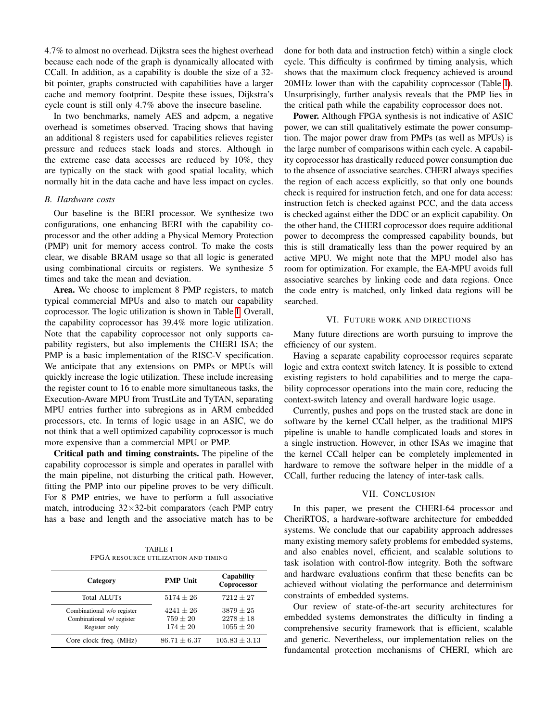4.7% to almost no overhead. Dijkstra sees the highest overhead because each node of the graph is dynamically allocated with CCall. In addition, as a capability is double the size of a 32 bit pointer, graphs constructed with capabilities have a larger cache and memory footprint. Despite these issues, Dijkstra's cycle count is still only 4.7% above the insecure baseline.

In two benchmarks, namely AES and adpcm, a negative overhead is sometimes observed. Tracing shows that having an additional 8 registers used for capabilities relieves register pressure and reduces stack loads and stores. Although in the extreme case data accesses are reduced by 10%, they are typically on the stack with good spatial locality, which normally hit in the data cache and have less impact on cycles.

#### *B. Hardware costs*

Our baseline is the BERI processor. We synthesize two configurations, one enhancing BERI with the capability coprocessor and the other adding a Physical Memory Protection (PMP) unit for memory access control. To make the costs clear, we disable BRAM usage so that all logic is generated using combinational circuits or registers. We synthesize 5 times and take the mean and deviation.

Area. We choose to implement 8 PMP registers, to match typical commercial MPUs and also to match our capability coprocessor. The logic utilization is shown in Table [I.](#page-6-0) Overall, the capability coprocessor has 39.4% more logic utilization. Note that the capability coprocessor not only supports capability registers, but also implements the CHERI ISA; the PMP is a basic implementation of the RISC-V specification. We anticipate that any extensions on PMPs or MPUs will quickly increase the logic utilization. These include increasing the register count to 16 to enable more simultaneous tasks, the Execution-Aware MPU from TrustLite and TyTAN, separating MPU entries further into subregions as in ARM embedded processors, etc. In terms of logic usage in an ASIC, we do not think that a well optimized capability coprocessor is much more expensive than a commercial MPU or PMP.

Critical path and timing constraints. The pipeline of the capability coprocessor is simple and operates in parallel with the main pipeline, not disturbing the critical path. However, fitting the PMP into our pipeline proves to be very difficult. For 8 PMP entries, we have to perform a full associative match, introducing  $32\times32$ -bit comparators (each PMP entry has a base and length and the associative match has to be

TABLE I FPGA RESOURCE UTILIZATION AND TIMING

<span id="page-6-0"></span>

| Category                                                                 | <b>PMP Unit</b>                             | Capability<br>Coprocessor                     |  |
|--------------------------------------------------------------------------|---------------------------------------------|-----------------------------------------------|--|
| <b>Total ALUTs</b>                                                       | $5174 \pm 26$                               | $7212 + 27$                                   |  |
| Combinational w/o register<br>Combinational w/ register<br>Register only | $4241 + 26$<br>$759 \pm 20$<br>$174 \pm 20$ | $3879 + 25$<br>$2278 \pm 18$<br>$1055 \pm 20$ |  |
| Core clock freq. (MHz)                                                   | $86.71 \pm 6.37$                            | $105.83 \pm 3.13$                             |  |

done for both data and instruction fetch) within a single clock cycle. This difficulty is confirmed by timing analysis, which shows that the maximum clock frequency achieved is around 20MHz lower than with the capability coprocessor (Table [I\)](#page-6-0). Unsurprisingly, further analysis reveals that the PMP lies in the critical path while the capability coprocessor does not.

Power. Although FPGA synthesis is not indicative of ASIC power, we can still qualitatively estimate the power consumption. The major power draw from PMPs (as well as MPUs) is the large number of comparisons within each cycle. A capability coprocessor has drastically reduced power consumption due to the absence of associative searches. CHERI always specifies the region of each access explicitly, so that only one bounds check is required for instruction fetch, and one for data access: instruction fetch is checked against PCC, and the data access is checked against either the DDC or an explicit capability. On the other hand, the CHERI coprocessor does require additional power to decompress the compressed capability bounds, but this is still dramatically less than the power required by an active MPU. We might note that the MPU model also has room for optimization. For example, the EA-MPU avoids full associative searches by linking code and data regions. Once the code entry is matched, only linked data regions will be searched.

## VI. FUTURE WORK AND DIRECTIONS

Many future directions are worth pursuing to improve the efficiency of our system.

Having a separate capability coprocessor requires separate logic and extra context switch latency. It is possible to extend existing registers to hold capabilities and to merge the capability coprocessor operations into the main core, reducing the context-switch latency and overall hardware logic usage.

Currently, pushes and pops on the trusted stack are done in software by the kernel CCall helper, as the traditional MIPS pipeline is unable to handle complicated loads and stores in a single instruction. However, in other ISAs we imagine that the kernel CCall helper can be completely implemented in hardware to remove the software helper in the middle of a CCall, further reducing the latency of inter-task calls.

# VII. CONCLUSION

In this paper, we present the CHERI-64 processor and CheriRTOS, a hardware-software architecture for embedded systems. We conclude that our capability approach addresses many existing memory safety problems for embedded systems, and also enables novel, efficient, and scalable solutions to task isolation with control-flow integrity. Both the software and hardware evaluations confirm that these benefits can be achieved without violating the performance and determinism constraints of embedded systems.

Our review of state-of-the-art security architectures for embedded systems demonstrates the difficulty in finding a comprehensive security framework that is efficient, scalable and generic. Nevertheless, our implementation relies on the fundamental protection mechanisms of CHERI, which are